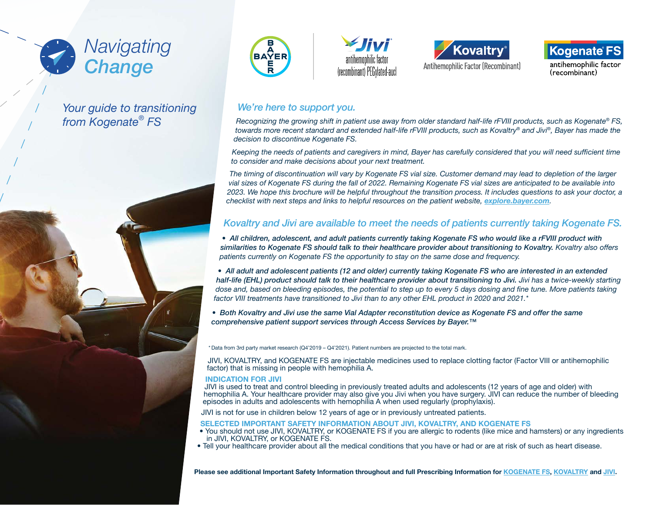

# *Your guide to transitioning from Kogenate® FS*











antihemophilic factor (recombinant)

## *We're here to support you.*

*Recognizing the growing shift in patient use away from older standard half-life rFVIII products, such as Kogenate® FS, towards more recent standard and extended half-life rFVIII products, such as Kovaltry® and Jivi®, Bayer has made the decision to discontinue Kogenate FS.*

Keeping the needs of patients and caregivers in mind, Bayer has carefully considered that you will need sufficient time *to consider and make decisions about your next treatment.* 

*The timing of discontinuation will vary by Kogenate FS vial size. Customer demand may lead to depletion of the larger vial sizes of Kogenate FS during the fall of 2022. Remaining Kogenate FS vial sizes are anticipated to be available into 2023. We hope this brochure will be helpful throughout the transition process. It includes questions to ask your doctor, a checklist with next steps and links to helpful resources on the patient website, [explore.bayer.com](http://explore.bayer.com).*

### *Kovaltry and Jivi are available to meet the needs of patients currently taking Kogenate FS.*

• All children, adolescent, and adult patients currently taking Kogenate FS who would like a rFVIII product with *similarities to Kogenate FS should talk to their healthcare provider about transitioning to Kovaltry. Kovaltry also offers*  patients currently on Kogenate FS the opportunity to stay on the same dose and frequency.

*• All adult and adolescent patients (12 and older) currently taking Kogenate FS who are interested in an extended half-life (EHL) product should talk to their healthcare provider about transitioning to Jivi. Jivi has a twice-weekly starting*  dose and, based on bleeding episodes, the potential to step up to every 5 days dosing and fine tune. More patients taking factor VIII treatments have transitioned to Jivi than to any other EHL product in 2020 and 2021.\*

*• Both Kovaltry and Jivi use the same Vial Adapter reconstitution device as Kogenate FS and offer the same comprehensive patient support services through Access Services by Bayer.™*

\* Data from 3rd party market research (Q4'2019 – Q4'2021). Patient numbers are projected to the total mark.

JIVI, KOVALTRY, and KOGENATE FS are injectable medicines used to replace clotting factor (Factor VIII or antihemophilic factor) that is missing in people with hemophilia A.

#### INDICATION FOR JIVI

JIVI is used to treat and control bleeding in previously treated adults and adolescents (12 years of age and older) with hemophilia A. Your healthcare provider may also give you Jivi when you have surgery. JIVI can reduce the number of bleeding episodes in adults and adolescents with hemophilia A when used regularly (prophylaxis).

JIVI is not for use in children below 12 years of age or in previously untreated patients.

#### SELECTED IMPORTANT SAFETY INFORMATION ABOUT JIVI, KOVALTRY, AND KOGENATE FS

- You should not use JIVI, KOVALTRY, or KOGENATE FS if you are allergic to rodents (like mice and hamsters) or any ingredients in JIVI, KOVALTRY, or KOGENATE FS.
- Tell your healthcare provider about all the medical conditions that you have or had or are at risk of such as heart disease.

Please see additional Important Safety Information throughout and full Prescribing Information for [KOGENATE FS](https://labeling.bayerhealthcare.com/html/products/pi/Kogenate-w-vial-adapter_PI.pdf), [KOVALTRY](https://labeling.bayerhealthcare.com/html/products/pi/Kovaltry_PI.pdf) and [JIVI](https://labeling.bayerhealthcare.com/html/products/pi/Jivi_PI.pdf).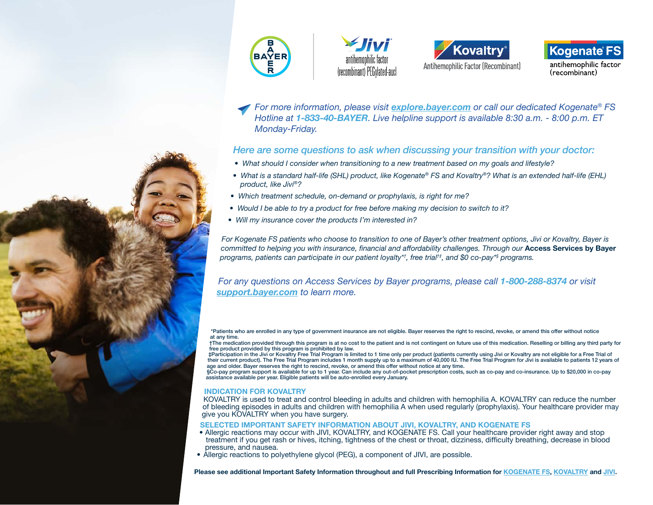







antihemophilic factor (recombinant)

*For more information, please visit [explore.bayer.com](http://explore.bayer.com) or call our dedicated Kogenate® FS Hotline at 1-833-40-BAYER. Live helpline support is available 8:30 a.m. - 8:00 p.m. ET*  Monday-Friday.

### *Here are some questions to ask when discussing your transition with your doctor:*

- *What should I consider when transitioning to a new treatment based on my goals and lifestyle?*
- *What is a standard half-life (SHL) product, like Kogenate® FS and Kovaltry®? What is an extended half-life (EHL) product, like Jivi®?*
- *Which treatment schedule, on-demand or prophylaxis, is right for me?*
- *Would I be able to try a product for free before making my decision to switch to it?*
- *Will my insurance cover the products I'm interested in?*

*For Kogenate FS patients who choose to transition to one of Bayer's other treatment options, Jivi or Kovaltry, Bayer is*  committed to helping you with insurance, financial and affordability challenges. Through our Access Services by Bayer *programs, patients can participate in our patient loyalty\*† , free trial†‡, and \$0 co-pay\*§ programs.*

*For any questions on Access Services by Bayer programs, please call 1-800-288-8374 or visit [support.bayer.com](http://support.bayer.com) to learn more.*

\*Patients who are enrolled in any type of government insurance are not eligible. Bayer reserves the right to rescind, revoke, or amend this offer without notice at any time.

†The medication provided through this program is at no cost to the patient and is not contingent on future use of this medication. Reselling or billing any third party for free product provided by this program is prohibited by law.<br>‡Participation in the Jivi or Kovaltry Free Trial Program is limited to 1 time only per product (patients currently using Jivi or Kovaltry are not eligible for a

their current product). The Free Trial Program includes 1 month supply up to a maximum of 40,000 IU. The Free Trial Program for Jivi is available to patients 12 years of age and older. Bayer reserves the right to rescind, revoke, or amend this offer without notice at any time.

§Co-pay program support is available for up to 1 year. Can include any out-of-pocket prescription costs, such as co-pay and co-insurance. Up to \$20,000 in co-pay assistance available per year. Eligible patients will be auto-enrolled every January.

#### INDICATION FOR KOVALTRY

KOVALTRY is used to treat and control bleeding in adults and children with hemophilia A. KOVALTRY can reduce the number of bleeding episodes in adults and children with hemophilia A when used regularly (prophylaxis). Your healthcare provider may give you KOVALTRY when you have surgery.

#### SELECTED IMPORTANT SAFETY INFORMATION ABOUT JIVI, KOVALTRY, AND KOGENATE FS

- Allergic reactions may occur with JIVI, KOVALTRY, and KOGENATE FS. Call your healthcare provider right away and stop treatment if you get rash or hives, itching, tightness of the chest or throat, dizziness, difficulty breathing, decrease in blood pressure, and nausea.
- Allergic reactions to polyethylene glycol (PEG), a component of JIVI, are possible.

Please see additional Important Safety Information throughout and full Prescribing Information for [KOGENATE FS](https://labeling.bayerhealthcare.com/html/products/pi/Kogenate-w-vial-adapter_PI.pdf), [KOVALTRY](https://labeling.bayerhealthcare.com/html/products/pi/Kovaltry_PI.pdf) and [JIVI](https://labeling.bayerhealthcare.com/html/products/pi/Jivi_PI.pdf).